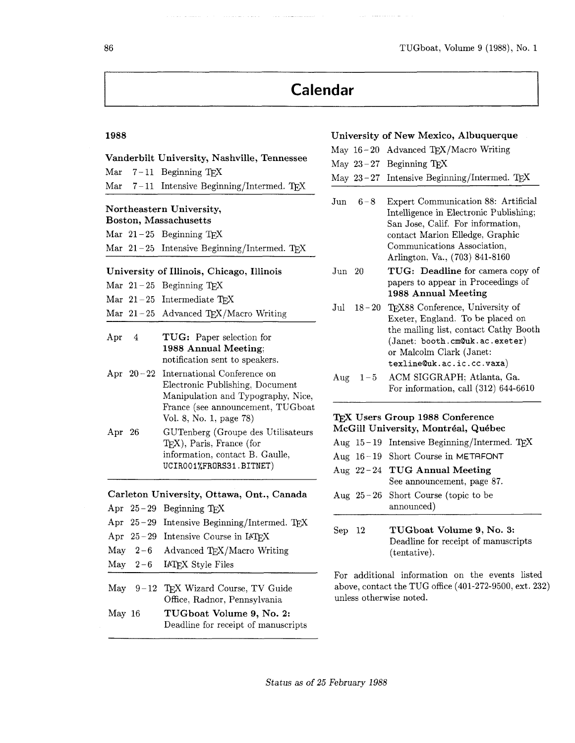# **Calendar**

## **1988 University of New Mexico, Albuquerque**

|                                                          |             |                                                                                                      |                                     |         | May $16-20$ Advanced TEX/Macro Writing                                                                                             |  |
|----------------------------------------------------------|-------------|------------------------------------------------------------------------------------------------------|-------------------------------------|---------|------------------------------------------------------------------------------------------------------------------------------------|--|
|                                                          |             | Vanderbilt University, Nashville, Tennessee                                                          |                                     |         | May $23-27$ Beginning TEX                                                                                                          |  |
| $\operatorname{Mar}$                                     |             | $7-11$ Beginning TEX                                                                                 |                                     |         | May $23-27$ Intensive Beginning/Intermed. TEX                                                                                      |  |
| $\operatorname{Mar}$                                     |             | $7-11$ Intensive Beginning/Intermed. TEX                                                             | $_{\text{Jun}}$                     | $6 - 8$ | Expert Communication 88: Artificial                                                                                                |  |
| Northeastern University,<br><b>Boston, Massachusetts</b> |             |                                                                                                      |                                     |         | Intelligence in Electronic Publishing;<br>San Jose, Calif. For information,                                                        |  |
|                                                          |             | Mar $21-25$ Beginning TEX                                                                            |                                     |         | contact Marion Elledge, Graphic                                                                                                    |  |
|                                                          |             | Mar $21-25$ Intensive Beginning/Intermed. TFX                                                        |                                     |         | Communications Association,<br>Arlington, Va., (703) 841-8160                                                                      |  |
| University of Illinois, Chicago, Illinois                |             |                                                                                                      | Jun 20                              |         | TUG: Deadline for camera copy of                                                                                                   |  |
|                                                          |             | Mar $21-25$ Beginning TEX                                                                            |                                     |         | papers to appear in Proceedings of<br>1988 Annual Meeting                                                                          |  |
|                                                          |             | Mar $21-25$ Intermediate TFX                                                                         | $_{\mathrm{Jul}}$                   |         | 18-20 TFX88 Conference, University of                                                                                              |  |
|                                                          |             | Mar $21-25$ Advanced TEX/Macro Writing                                                               |                                     |         | Exeter, England. To be placed on                                                                                                   |  |
| Apr                                                      | 4           | TUG: Paper selection for<br>1988 Annual Meeting;<br>notification sent to speakers.                   |                                     |         | the mailing list, contact Cathy Booth<br>$(Janet:$ booth.cm@uk.ac.exeter)<br>or Malcolm Clark (Janet:<br>texline@uk.ac.ic.cc.vaxa) |  |
|                                                          | Apr $20-22$ | International Conference on<br>Electronic Publishing, Document<br>Manipulation and Typography, Nice, | $\rm{Aug}$                          | $1 - 5$ | ACM SIGGRAPH; Atlanta, Ga.<br>For information, call $(312)$ 644-6610                                                               |  |
|                                                          |             | France (see announcement, TUGboat<br>Vol. 8, No. 1, page 78)                                         |                                     |         | TFX Users Group 1988 Conference                                                                                                    |  |
| Apr $26$                                                 |             | GUTenberg (Groupe des Utilisateurs<br>TFX), Paris, France (for                                       | McGill University, Montréal, Québec |         |                                                                                                                                    |  |
|                                                          |             |                                                                                                      |                                     |         | Aug $15-19$ Intensive Beginning/Intermed. TEX                                                                                      |  |
|                                                          |             | information, contact B. Gaulle,                                                                      |                                     |         | Aug 16-19 Short Course in METAFONT                                                                                                 |  |
|                                                          |             | UCIRO01%FRORS31.BITNET)                                                                              |                                     |         | Aug 22-24 TUG Annual Meeting<br>See announcement, page 87.                                                                         |  |
|                                                          |             | Carleton University, Ottawa, Ont., Canada                                                            |                                     |         | Aug $25-26$ Short Course (topic to be                                                                                              |  |
|                                                          |             | Apr 25-29 Beginning TEX                                                                              |                                     |         | announced)                                                                                                                         |  |
|                                                          |             | $\alpha r$ $\alpha \alpha$ $\tau$ $\beta$ $\alpha$ $\tau$ $\beta$ $\tau$ $\beta$<br>$\mathbf{r}$     |                                     |         |                                                                                                                                    |  |

Sep 12 **TUGboat Volume 9, No. 3:**  Deadline for receipt of manuscripts (tentative).

For additional information on the events listed above, contact the TUG office (401-272-9500, ext. 232) unless otherwise noted.

| Apr $26$ | GUTenberg (Groupe des Utilisateur<br>$TFX)$ , Paris, France (for<br>information, contact B. Gaulle,<br>UCIRO01%FRORS31.BITNET) |
|----------|--------------------------------------------------------------------------------------------------------------------------------|
|          | Carleton University, Ottawa, Ont., Canada                                                                                      |
|          | Apr $25-29$ Beginning T <sub>E</sub> X                                                                                         |
|          | Apr 25-29 Intensive Beginning/Intermed. TEX                                                                                    |
|          | Apr $25-29$ Intensive Course in IATFX                                                                                          |
|          | May $2-6$ Advanced TFX/Macro Writing                                                                                           |
|          | May $2-6$ IATEX Style Files                                                                                                    |

- May 9 12 TEX Wizard Course, TV Guide Office, Radnor, Pennsylvania
- May 16 **TUGboat Volume 9, No. 2:**  Deadline for receipt of manuscripts